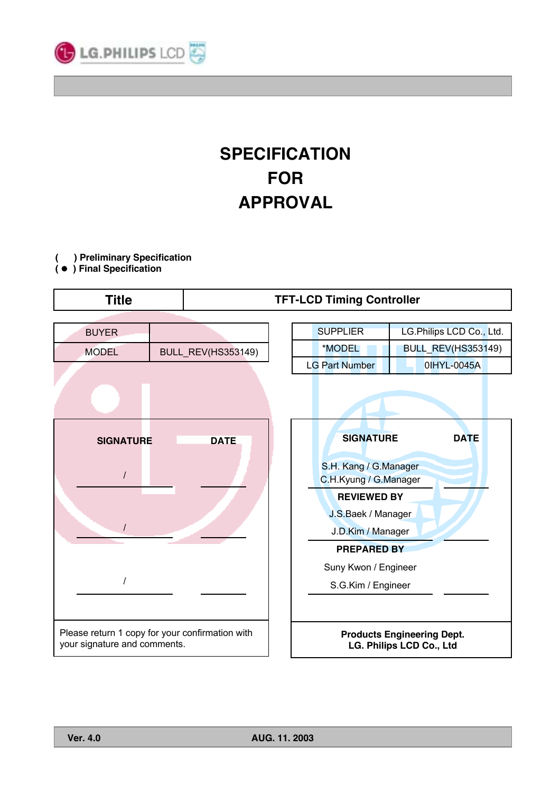

# **SPECIFICATION FOR APPROVAL**

**( ) Preliminary Specification**

**(** G **) Final Specification**

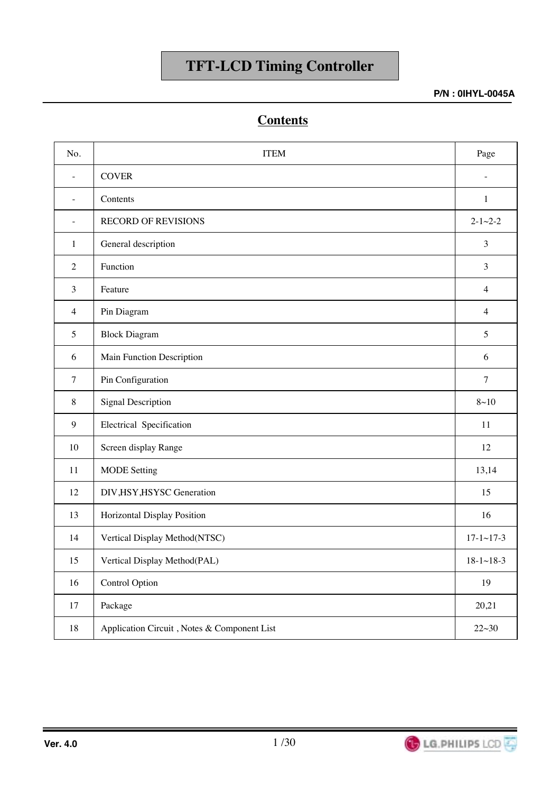**P/N : 0IHYL-0045A**

## **Contents**

| No.                      | <b>ITEM</b>                                 | Page                 |
|--------------------------|---------------------------------------------|----------------------|
| $\overline{\phantom{a}}$ | <b>COVER</b>                                |                      |
| $\overline{\phantom{0}}$ | Contents                                    | $\mathbf{1}$         |
| $\overline{\phantom{a}}$ | <b>RECORD OF REVISIONS</b>                  | $2 - 1 - 2 - 2$      |
| $\mathbf{1}$             | General description                         | $\mathfrak{Z}$       |
| $\overline{2}$           | Function                                    | 3                    |
| 3                        | Feature                                     | $\overline{4}$       |
| $\overline{4}$           | Pin Diagram                                 | $\overline{4}$       |
| 5                        | <b>Block Diagram</b>                        | 5                    |
| 6                        | Main Function Description                   | 6                    |
| $\overline{7}$           | Pin Configuration                           | $\overline{7}$       |
| $\,8\,$                  | <b>Signal Description</b>                   | $8 - 10$             |
| $\mathbf{9}$             | Electrical Specification                    | 11                   |
| 10                       | Screen display Range                        | 12                   |
| 11                       | <b>MODE</b> Setting                         | 13,14                |
| 12                       | DIV, HSY, HSYSC Generation                  | 15                   |
| 13                       | Horizontal Display Position                 | 16                   |
| 14                       | Vertical Display Method(NTSC)               | $17 - 1 \sim 17 - 3$ |
| 15                       | Vertical Display Method(PAL)                | $18-1 \sim 18-3$     |
| 16                       | <b>Control Option</b>                       | 19                   |
| 17                       | Package                                     | 20,21                |
| $18\,$                   | Application Circuit, Notes & Component List | $22 - 30$            |

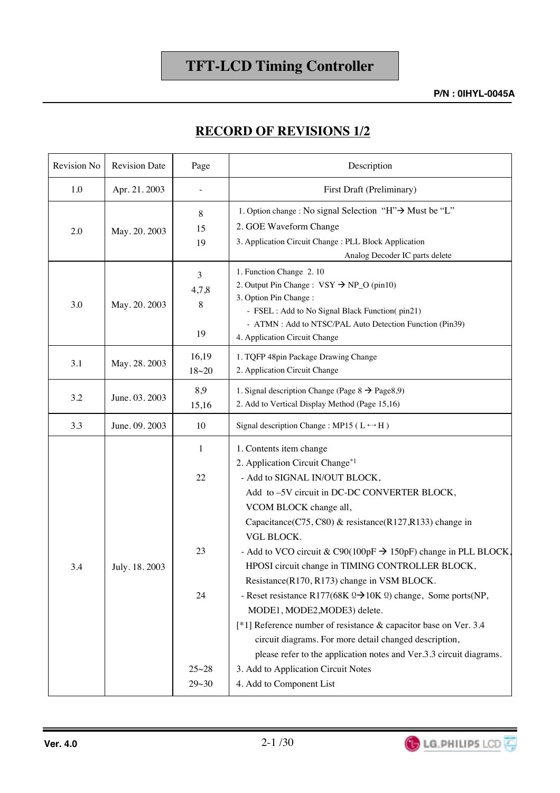### **RECORD OF REVISIONS 1/2**

| Revision No | <b>Revision Date</b> | Page                     | Description                                                                                                                                                                                                                                                                                                                                                                                                                                                                                                                                                                                                                                                                                                                                                         |
|-------------|----------------------|--------------------------|---------------------------------------------------------------------------------------------------------------------------------------------------------------------------------------------------------------------------------------------------------------------------------------------------------------------------------------------------------------------------------------------------------------------------------------------------------------------------------------------------------------------------------------------------------------------------------------------------------------------------------------------------------------------------------------------------------------------------------------------------------------------|
| 1.0         | Apr. 21. 2003        | $\overline{\phantom{a}}$ | First Draft (Preliminary)                                                                                                                                                                                                                                                                                                                                                                                                                                                                                                                                                                                                                                                                                                                                           |
| 2.0         | May. 20. 2003        | 8<br>15<br>19            | 1. Option change : No signal Selection "H"→ Must be "L"<br>2. GOE Waveform Change<br>3. Application Circuit Change : PLL Block Application<br>Analog Decoder IC parts delete                                                                                                                                                                                                                                                                                                                                                                                                                                                                                                                                                                                        |
| 3.0         | May. 20. 2003        | 3<br>4,7,8<br>8<br>19    | 1. Function Change 2.10<br>2. Output Pin Change : $VSY \rightarrow NP_O$ (pin10)<br>3. Option Pin Change:<br>- FSEL : Add to No Signal Black Function(pin21)<br>- ATMN : Add to NTSC/PAL Auto Detection Function (Pin39)<br>4. Application Circuit Change                                                                                                                                                                                                                                                                                                                                                                                                                                                                                                           |
| 3.1         | May. 28. 2003        | 16,19<br>$18 - 20$       | 1. TQFP 48pin Package Drawing Change<br>2. Application Circuit Change                                                                                                                                                                                                                                                                                                                                                                                                                                                                                                                                                                                                                                                                                               |
| 3.2         | June. 03. 2003       | 8,9<br>15,16             | 1. Signal description Change (Page $8 \rightarrow$ Page $8.9$ )<br>2. Add to Vertical Display Method (Page 15,16)                                                                                                                                                                                                                                                                                                                                                                                                                                                                                                                                                                                                                                                   |
| 3.3         | June. 09. 2003       | 10                       | Signal description Change: MP15 ( $L \leftrightarrow H$ )                                                                                                                                                                                                                                                                                                                                                                                                                                                                                                                                                                                                                                                                                                           |
| 3.4         | July. 18. 2003       | 1<br>22<br>23<br>24      | 1. Contents item change<br>2. Application Circuit Change*1<br>- Add to SIGNAL IN/OUT BLOCK,<br>Add to -5V circuit in DC-DC CONVERTER BLOCK,<br>VCOM BLOCK change all,<br>Capacitance(C75, C80) & resistance(R127,R133) change in<br><b>VGL BLOCK.</b><br>- Add to VCO circuit & C90(100pF $\rightarrow$ 150pF) change in PLL BLOCK,<br>HPOSI circuit change in TIMING CONTROLLER BLOCK,<br>Resistance(R170, R173) change in VSM BLOCK.<br>- Reset resistance R177(68K $\Omega \rightarrow 10K \Omega$ ) change, Some ports(NP,<br>MODE1, MODE2, MODE3) delete.<br>[*1] Reference number of resistance & capacitor base on Ver. 3.4<br>circuit diagrams. For more detail changed description,<br>please refer to the application notes and Ver.3.3 circuit diagrams. |
|             |                      | $25 - 28$<br>$29 - 30$   | 3. Add to Application Circuit Notes<br>4. Add to Component List                                                                                                                                                                                                                                                                                                                                                                                                                                                                                                                                                                                                                                                                                                     |



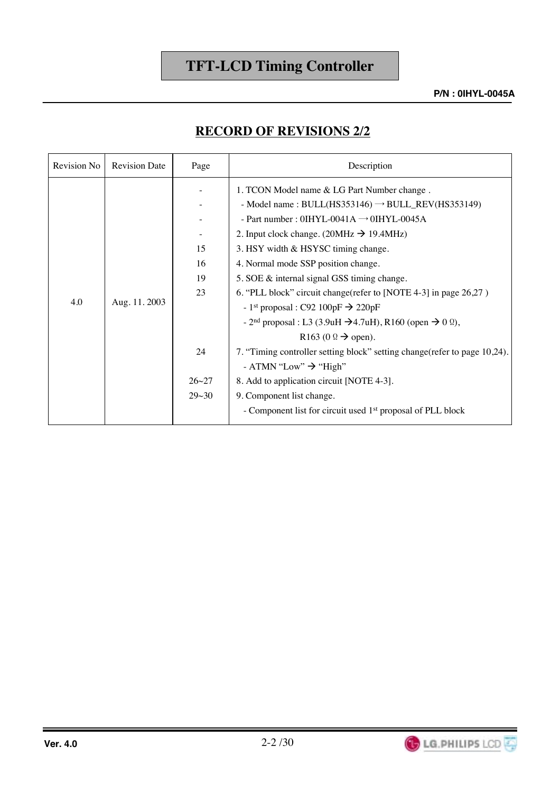**P/N : 0IHYL-0045A**

### **RECORD OF REVISIONS 2/2**

| Revision No | <b>Revision Date</b> | Page                                                 | Description                                                                                                                                                                                                                                                                                                                                                                                                                                                                                                                                                                                                                                                                                                                                                                                                                                                                                               |
|-------------|----------------------|------------------------------------------------------|-----------------------------------------------------------------------------------------------------------------------------------------------------------------------------------------------------------------------------------------------------------------------------------------------------------------------------------------------------------------------------------------------------------------------------------------------------------------------------------------------------------------------------------------------------------------------------------------------------------------------------------------------------------------------------------------------------------------------------------------------------------------------------------------------------------------------------------------------------------------------------------------------------------|
| 4.0         | Aug. 11. 2003        | 15<br>16<br>19<br>23<br>24<br>$26 - 27$<br>$29 - 30$ | 1. TCON Model name & LG Part Number change.<br>- Model name: $BULL(HS353146) \rightarrow BULL\_REV(HS353149)$<br>- Part number: $0IHYL-0041A \rightarrow 0IHYL-0045A$<br>2. Input clock change. (20MHz $\rightarrow$ 19.4MHz)<br>3. HSY width & HSYSC timing change.<br>4. Normal mode SSP position change.<br>5. SOE & internal signal GSS timing change.<br>6. "PLL block" circuit change (refer to [NOTE 4-3] in page 26,27)<br>- 1 <sup>st</sup> proposal : C92 100pF $\rightarrow$ 220pF<br>- $2nd$ proposal : L3 (3.9uH $\rightarrow$ 4.7uH), R160 (open $\rightarrow$ 0 $\Omega$ ),<br>R163 (0 $\Omega \rightarrow$ open).<br>7. "Timing controller setting block" setting change (refer to page 10,24).<br>- ATMN "Low" $\rightarrow$ "High"<br>8. Add to application circuit [NOTE 4-3].<br>9. Component list change.<br>- Component list for circuit used 1 <sup>st</sup> proposal of PLL block |

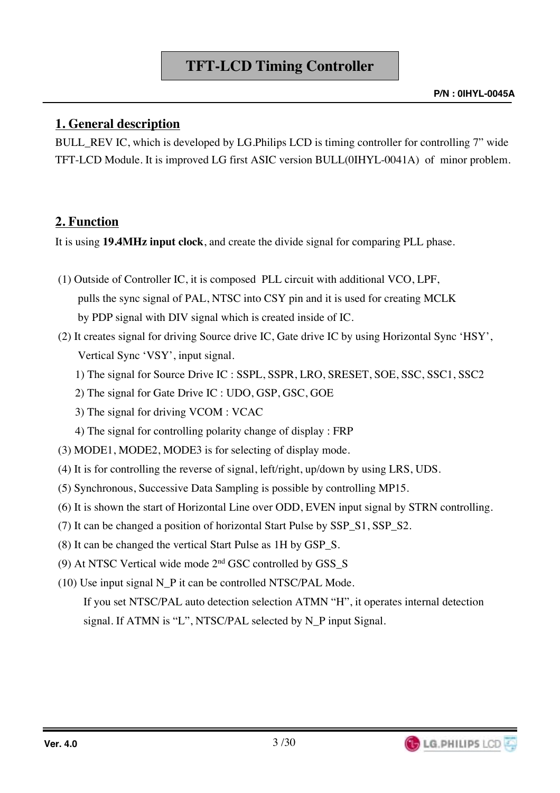## **1. General description**

BULL REV IC, which is developed by LG.Philips LCD is timing controller for controlling 7" wide TFT-LCD Module. It is improved LG first ASIC version BULL(0IHYL-0041A) of minor problem.

## **2. Function**

It is using **19.4MHz input clock**, and create the divide signal for comparing PLL phase.

- (1) Outside of Controller IC, it is composed PLL circuit with additional VCO, LPF, pulls the sync signal of PAL, NTSC into CSY pin and it is used for creating MCLK by PDP signal with DIV signal which is created inside of IC.
- (2) It creates signal for driving Source drive IC, Gate drive IC by using Horizontal Sync 'HSY', Vertical Sync 'VSY', input signal.
	- 1) The signal for Source Drive IC : SSPL, SSPR, LRO, SRESET, SOE, SSC, SSC1, SSC2
	- 2) The signal for Gate Drive IC : UDO, GSP, GSC, GOE
	- 3) The signal for driving VCOM : VCAC
	- 4) The signal for controlling polarity change of display : FRP
- (3) MODE1, MODE2, MODE3 is for selecting of display mode.
- (4) It is for controlling the reverse of signal, left/right, up/down by using LRS, UDS.
- (5) Synchronous, Successive Data Sampling is possible by controlling MP15.
- (6) It is shown the start of Horizontal Line over ODD, EVEN input signal by STRN controlling.
- (7) It can be changed a position of horizontal Start Pulse by SSP\_S1, SSP\_S2.
- (8) It can be changed the vertical Start Pulse as 1H by GSP\_S.
- (9) At NTSC Vertical wide mode 2nd GSC controlled by GSS\_S
- (10) Use input signal N\_P it can be controlled NTSC/PAL Mode.

If you set NTSC/PAL auto detection selection ATMN "H", it operates internal detection signal. If ATMN is "L", NTSC/PAL selected by N\_P input Signal.

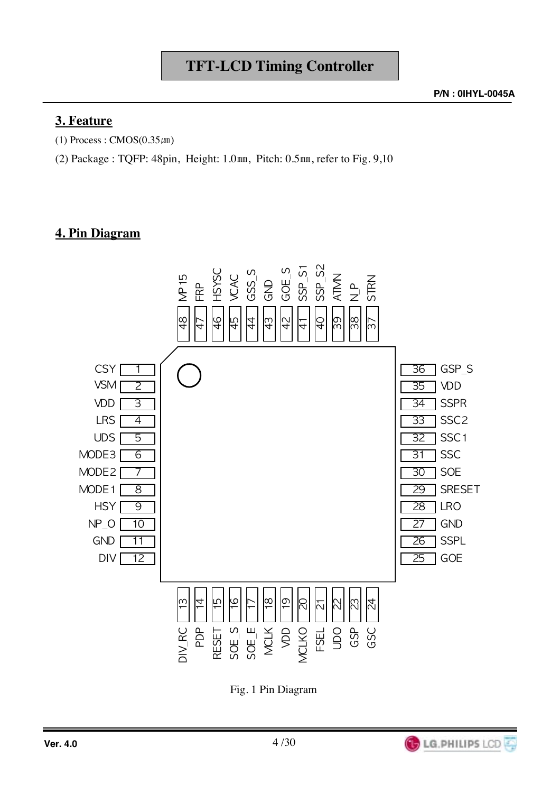## **3. Feature**

(1) Process :  $CMOS(0.35 \mu m)$ 

(2) Package : TQFP: 48pin, Height: 1.0 $mm$ , Pitch: 0.5 $mm$ , refer to Fig. 9,10

## **4. Pin Diagram**



Fig. 1 Pin Diagram

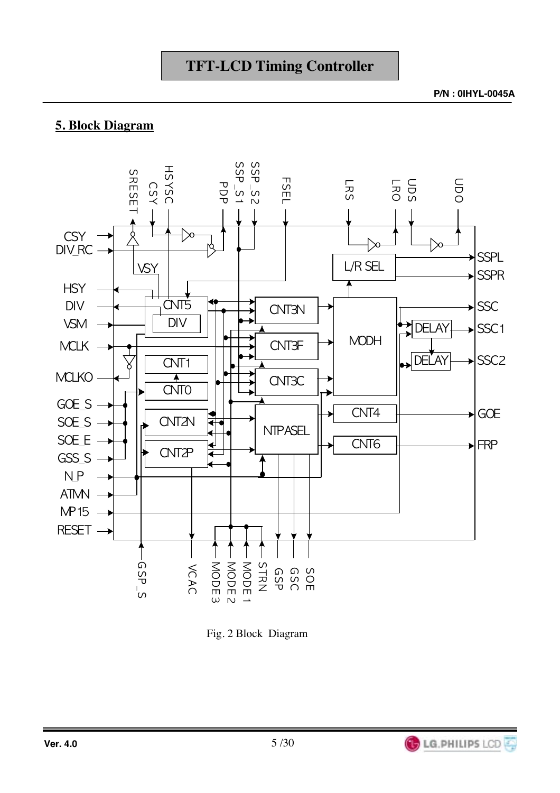**P/N : 0IHYL-0045A**

## **5. Block Diagram**



Fig. 2 Block Diagram

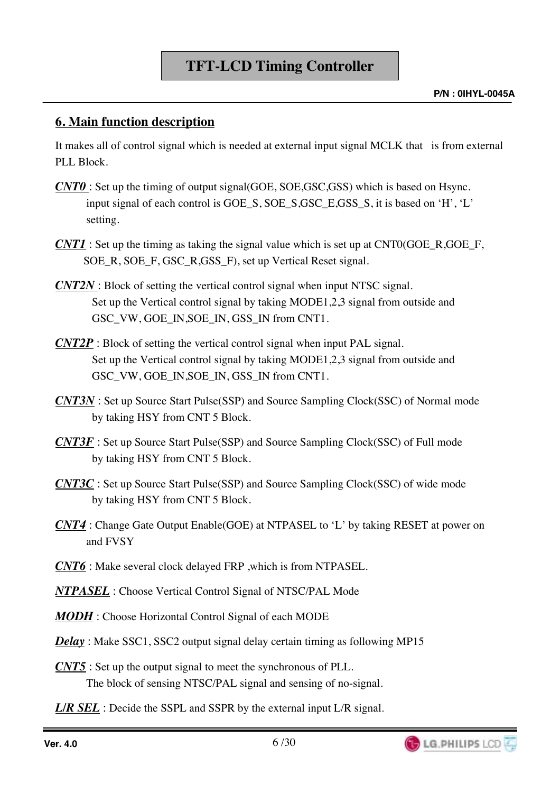## **6. Main function description**

It makes all of control signal which is needed at external input signal MCLK that is from external PLL Block.

- *CNT0*: Set up the timing of output signal(GOE, SOE,GSC,GSS) which is based on Hsync. input signal of each control is GOE\_S, SOE\_S,GSC\_E,GSS\_S, it is based on 'H', 'L' setting.
- *CNT1* : Set up the timing as taking the signal value which is set up at CNT0(GOE\_R,GOE\_F, SOE\_R, SOE\_F, GSC\_R,GSS\_F), set up Vertical Reset signal.
- *CNT2N* : Block of setting the vertical control signal when input NTSC signal. Set up the Vertical control signal by taking MODE1,2,3 signal from outside and GSC\_VW, GOE\_IN,SOE\_IN, GSS\_IN from CNT1.
- *CNT2P* : Block of setting the vertical control signal when input PAL signal. Set up the Vertical control signal by taking MODE1,2,3 signal from outside and GSC\_VW, GOE\_IN,SOE\_IN, GSS\_IN from CNT1.
- *CNT3N* : Set up Source Start Pulse(SSP) and Source Sampling Clock(SSC) of Normal mode by taking HSY from CNT 5 Block.
- *CNT3F* : Set up Source Start Pulse(SSP) and Source Sampling Clock(SSC) of Full mode by taking HSY from CNT 5 Block.
- *CNT3C* : Set up Source Start Pulse(SSP) and Source Sampling Clock(SSC) of wide mode by taking HSY from CNT 5 Block.
- *CNT4* : Change Gate Output Enable(GOE) at NTPASEL to 'L' by taking RESET at power on and FVSY
- *CNT6* : Make several clock delayed FRP ,which is from NTPASEL.
- *NTPASEL* : Choose Vertical Control Signal of NTSC/PAL Mode
- *MODH* : Choose Horizontal Control Signal of each MODE
- *Delay*: Make SSC1, SSC2 output signal delay certain timing as following MP15
- *CNT5* : Set up the output signal to meet the synchronous of PLL. The block of sensing NTSC/PAL signal and sensing of no-signal.
- **L/R SEL**: Decide the SSPL and SSPR by the external input L/R signal.

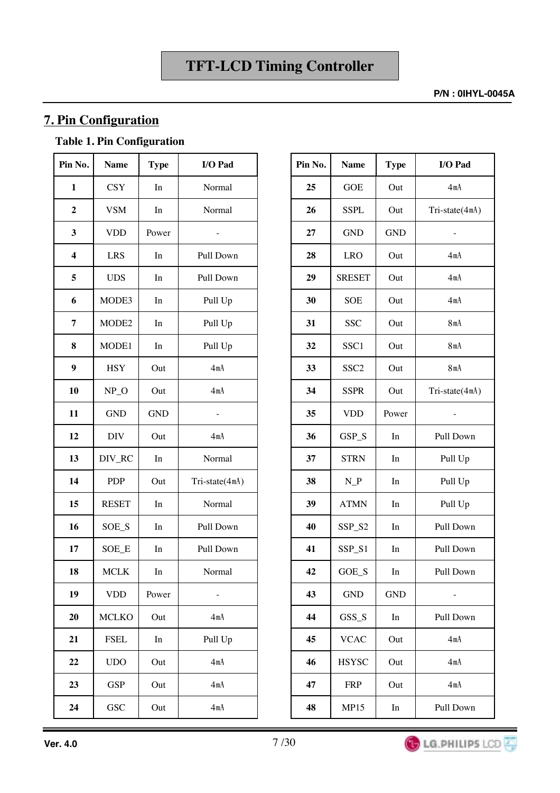#### **P/N : 0IHYL-0045A**

## **7. Pin Configuration**

## **Table 1. Pin Configuration**

| Pin No.                 | <b>Name</b>  | <b>Type</b> | I/O Pad                  | Pin No. | <b>Name</b>                       | <b>Type</b> | I/O Pad                  |
|-------------------------|--------------|-------------|--------------------------|---------|-----------------------------------|-------------|--------------------------|
| $\mathbf{1}$            | <b>CSY</b>   | In          | Normal                   | 25      | <b>GOE</b>                        | Out         | 4mA                      |
| $\boldsymbol{2}$        | <b>VSM</b>   | In          | Normal                   | 26      | <b>SSPL</b>                       | Out         | Tri-state(4m/            |
| $\mathbf{3}$            | <b>VDD</b>   | Power       | $\overline{a}$           | 27      | <b>GND</b>                        | <b>GND</b>  | $\overline{\phantom{a}}$ |
| $\overline{\mathbf{4}}$ | <b>LRS</b>   | In          | Pull Down                | 28      | <b>LRO</b>                        | Out         | 4mA                      |
| 5                       | <b>UDS</b>   | In          | Pull Down                | 29      | <b>SRESET</b>                     | Out         | 4mA                      |
| 6                       | MODE3        | In          | Pull Up                  | 30      | <b>SOE</b>                        | Out         | 4mA                      |
| 7                       | MODE2        | In          | Pull Up                  | 31      | <b>SSC</b>                        | Out         | 8mA                      |
| 8                       | MODE1        | In          | Pull Up                  | 32      | SSC1                              | Out         | 8mA                      |
| $\boldsymbol{9}$        | <b>HSY</b>   | Out         | 4mA                      | 33      | SSC <sub>2</sub>                  | Out         | 8mA                      |
| 10                      | $NP_$        | Out         | 4mA                      | 34      | <b>SSPR</b>                       | Out         | Tri-state(4m/            |
| 11                      | <b>GND</b>   | <b>GND</b>  | $\overline{\phantom{0}}$ | 35      | <b>VDD</b>                        | Power       | $\overline{a}$           |
| 12                      | DIV          | Out         | 4mA                      | 36      | GSP_S                             | In          | Pull Down                |
| 13                      | DIV_RC       | In          | Normal                   | 37      | <b>STRN</b>                       | In          | Pull Up                  |
| 14                      | <b>PDP</b>   | Out         | Tri-state(4mA)           | 38      | $N_P$                             | In          | Pull Up                  |
| 15                      | <b>RESET</b> | In          | Normal                   | 39      | <b>ATMN</b>                       | In          | Pull Up                  |
| 16                      | SOE_S        | In          | Pull Down                | 40      | SSP_S2                            | In          | Pull Down                |
| 17                      | SOE_E        | In          | Pull Down                | 41      | SSP_S1                            | In          | Pull Down                |
| 18                      | <b>MCLK</b>  | In          | Normal                   | 42      | GOE_S                             | In          | Pull Down                |
| 19                      | <b>VDD</b>   | Power       |                          | 43      | <b>GND</b>                        | <b>GND</b>  |                          |
| 20                      | <b>MCLKO</b> | Out         | 4mA                      | 44      | GSS_S                             | In          | Pull Down                |
| 21                      | <b>FSEL</b>  | In          | Pull Up                  | 45      | $\ensuremath{\text{V}\text{CAC}}$ | Out         | 4mA                      |
| 22                      | <b>UDO</b>   | Out         | 4mA                      | 46      | <b>HSYSC</b>                      | Out         | 4mA                      |
| 23                      | <b>GSP</b>   | Out         | 4mA                      | 47      | <b>FRP</b>                        | Out         | 4mA                      |
| 24                      | <b>GSC</b>   | Out         | 4mA                      | 48      | <b>MP15</b>                       | In          | Pull Down                |

| I/O Pad       | Pin No. | <b>Name</b>      | <b>Type</b>         | I/O Pad        |
|---------------|---------|------------------|---------------------|----------------|
| Normal        | 25      | <b>GOE</b>       | Out                 | 4mA            |
| Normal        | 26      | <b>SSPL</b>      | Out                 | Tri-state(4mA) |
|               | 27      | <b>GND</b>       | <b>GND</b>          |                |
| Pull Down     | 28      | <b>LRO</b>       | Out                 | 4mA            |
| Pull Down     | 29      | <b>SRESET</b>    | Out                 | 4mA            |
| Pull Up       | 30      | SOE              | Out                 | 4mA            |
| Pull Up       | 31      | <b>SSC</b>       | Out                 | 8mA            |
| Pull Up       | 32      | SSC1             | Out                 | 8mA            |
| 4mA           | 33      | SSC <sub>2</sub> | Out                 | 8mA            |
| 4mA           | 34      | <b>SSPR</b>      | Out                 | Tri-state(4mA) |
|               | 35      | <b>VDD</b>       | Power               |                |
| 4mA           | 36      | GSP_S            | In                  | Pull Down      |
| Normal        | 37      | <b>STRN</b>      | In                  | Pull Up        |
| ri-state(4mA) | 38      | $N_P$            | In                  | Pull Up        |
| Normal        | 39      | <b>ATMN</b>      | In                  | Pull Up        |
| Pull Down     | 40      | SSP_S2           | In                  | Pull Down      |
| Pull Down     | 41      | SSP_S1           | $\operatorname{In}$ | Pull Down      |
| Normal        | 42      | $GOE_S$          | In                  | Pull Down      |
|               | 43      | <b>GND</b>       | <b>GND</b>          |                |
| 4mA           | 44      | GSS_S            | In                  | Pull Down      |
| Pull Up       | 45      | <b>VCAC</b>      | Out                 | 4mA            |
| 4mA           | 46      | <b>HSYSC</b>     | Out                 | 4mA            |
| 4mA           | 47      | <b>FRP</b>       | Out                 | 4mA            |
| 4mA           | 48      | <b>MP15</b>      | In                  | Pull Down      |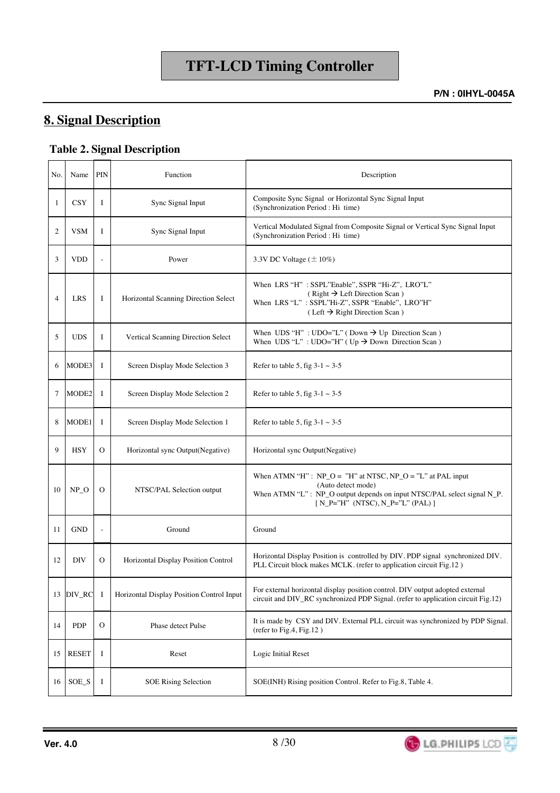## **8. Signal Description**

#### **Table 2. Signal Description**

| No.            | Name         | PIN                 | Function                                  | Description                                                                                                                                                                                           |
|----------------|--------------|---------------------|-------------------------------------------|-------------------------------------------------------------------------------------------------------------------------------------------------------------------------------------------------------|
| 1              | <b>CSY</b>   | I                   | Sync Signal Input                         | Composite Sync Signal or Horizontal Sync Signal Input<br>(Synchronization Period : Hi time)                                                                                                           |
| 2              | <b>VSM</b>   | I                   | Sync Signal Input                         | Vertical Modulated Signal from Composite Signal or Vertical Sync Signal Input<br>(Synchronization Period : Hi time)                                                                                   |
| 3              | <b>VDD</b>   | $\bar{\phantom{a}}$ | Power                                     | 3.3V DC Voltage $(\pm 10\%)$                                                                                                                                                                          |
| $\overline{4}$ | <b>LRS</b>   | I                   | Horizontal Scanning Direction Select      | When LRS "H" : SSPL"Enable", SSPR "Hi-Z", LRO"L"<br>$(Right \rightarrow Left Direction Scan)$<br>When LRS "L" : SSPL"Hi-Z", SSPR "Enable", LRO"H"<br>$(Left \rightarrow Right Direction Scan)$        |
| 5              | <b>UDS</b>   | Ι                   | Vertical Scanning Direction Select        | When UDS "H" : UDO="L" (Down $\rightarrow$ Up Direction Scan)<br>When UDS "L" : UDO="H" (Up $\rightarrow$ Down Direction Scan)                                                                        |
| 6              | MODE3        | I                   | Screen Display Mode Selection 3           | Refer to table 5, fig $3-1 \sim 3-5$                                                                                                                                                                  |
| 7              | MODE2        | I                   | Screen Display Mode Selection 2           | Refer to table 5, fig $3-1 \sim 3-5$                                                                                                                                                                  |
| 8              | MODE1        | I                   | Screen Display Mode Selection 1           | Refer to table 5, fig $3-1 \sim 3-5$                                                                                                                                                                  |
| 9              | <b>HSY</b>   | 0                   | Horizontal sync Output(Negative)          | Horizontal sync Output(Negative)                                                                                                                                                                      |
| 10             | $NP_$        | 0                   | NTSC/PAL Selection output                 | When ATMN "H": $NP_O = "H"$ at NTSC, $NP_O = "L"$ at PAL input<br>(Auto detect mode)<br>When ATMN "L": NP_O output depends on input NTSC/PAL select signal N_P.<br>$[N_P='H" (NTSC), N_P='L" (PAL) ]$ |
| 11             | <b>GND</b>   | $\sim$              | Ground                                    | Ground                                                                                                                                                                                                |
| 12             | <b>DIV</b>   | O                   | Horizontal Display Position Control       | Horizontal Display Position is controlled by DIV. PDP signal synchronized DIV.<br>PLL Circuit block makes MCLK. (refer to application circuit Fig.12)                                                 |
| 13             | DIV_RC       | -1                  | Horizontal Display Position Control Input | For external horizontal display position control. DIV output adopted external<br>circuit and DIV_RC synchronized PDP Signal. (refer to application circuit Fig.12)                                    |
| 14             | <b>PDP</b>   | O                   | Phase detect Pulse                        | It is made by CSY and DIV. External PLL circuit was synchronized by PDP Signal.<br>(refer to Fig. 4, Fig. $12$ )                                                                                      |
| 15             | <b>RESET</b> | Ι                   | Reset                                     | Logic Initial Reset                                                                                                                                                                                   |
| 16             | SOE_S        | Ι                   | <b>SOE Rising Selection</b>               | SOE(INH) Rising position Control. Refer to Fig.8, Table 4.                                                                                                                                            |

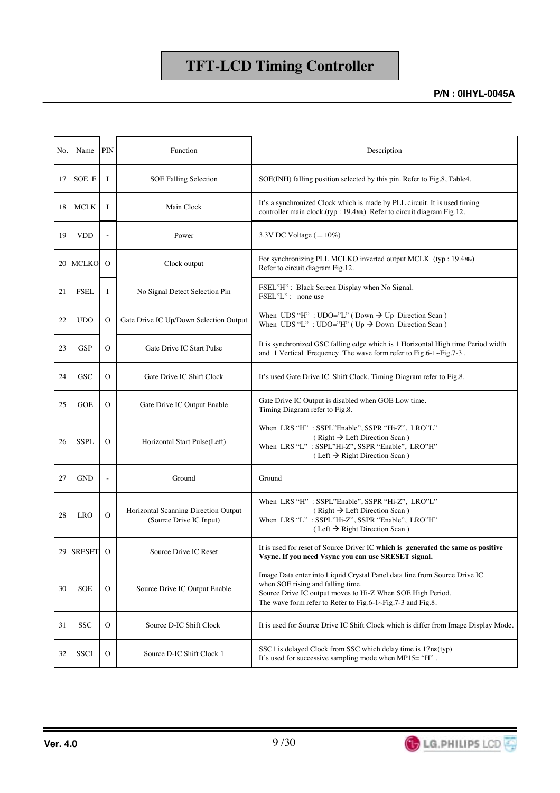| No. | Name             | PIN           | Function                                                        | Description                                                                                                                                                                                                                                |
|-----|------------------|---------------|-----------------------------------------------------------------|--------------------------------------------------------------------------------------------------------------------------------------------------------------------------------------------------------------------------------------------|
| 17  | SOE_E            | 1             | <b>SOE Falling Selection</b>                                    | SOE(INH) falling position selected by this pin. Refer to Fig.8, Table4.                                                                                                                                                                    |
| 18  | MCLK             | Ι             | Main Clock                                                      | It's a synchronized Clock which is made by PLL circuit. It is used timing<br>controller main clock.(typ: 19.4MHz) Refer to circuit diagram Fig.12.                                                                                         |
| 19  | <b>VDD</b>       |               | Power                                                           | 3.3V DC Voltage $(\pm 10\%)$                                                                                                                                                                                                               |
| 20  | <b>MCLKO</b>     | $\Omega$      | Clock output                                                    | For synchronizing PLL MCLKO inverted output MCLK (typ: 19.4MHz)<br>Refer to circuit diagram Fig.12.                                                                                                                                        |
| 21  | <b>FSEL</b>      | I             | No Signal Detect Selection Pin                                  | FSEL"H": Black Screen Display when No Signal.<br>FSEL"L": none use                                                                                                                                                                         |
| 22  | <b>UDO</b>       | O             | Gate Drive IC Up/Down Selection Output                          | When UDS "H" : UDO="L" (Down $\rightarrow$ Up Direction Scan)<br>When UDS "L" : UDO="H" (Up $\rightarrow$ Down Direction Scan)                                                                                                             |
| 23  | <b>GSP</b>       | O             | Gate Drive IC Start Pulse                                       | It is synchronized GSC falling edge which is 1 Horizontal High time Period width<br>and 1 Vertical Frequency. The wave form refer to Fig.6-1 $\sim$ Fig.7-3.                                                                               |
| 24  | <b>GSC</b>       | O             | Gate Drive IC Shift Clock                                       | It's used Gate Drive IC Shift Clock. Timing Diagram refer to Fig.8.                                                                                                                                                                        |
| 25  | <b>GOE</b>       | O             | Gate Drive IC Output Enable                                     | Gate Drive IC Output is disabled when GOE Low time.<br>Timing Diagram refer to Fig.8.                                                                                                                                                      |
| 26  | <b>SSPL</b>      | $\Omega$      | Horizontal Start Pulse(Left)                                    | When LRS "H": SSPL"Enable", SSPR "Hi-Z", LRO"L"<br>$(Right \rightarrow Left Direction Scan)$<br>When LRS "L" : SSPL"Hi-Z", SSPR "Enable", LRO"H"<br>$(Left \rightarrow Right Direction Scan)$                                              |
| 27  | <b>GND</b>       |               | Ground                                                          | Ground                                                                                                                                                                                                                                     |
| 28  | <b>LRO</b>       | $\mathcal{O}$ | Horizontal Scanning Direction Output<br>(Source Drive IC Input) | When LRS "H": SSPL"Enable", SSPR "Hi-Z", LRO"L"<br>$(Right \rightarrow Left Direction Scan)$<br>When LRS "L" : SSPL"Hi-Z", SSPR "Enable", LRO"H"<br>$(Left \rightarrow Right Direction Scan)$                                              |
| 29  | <b>SRESET</b>    | $\Omega$      | Source Drive IC Reset                                           | It is used for reset of Source Driver IC which is generated the same as positive<br>Vsync. If you need Vsync you can use SRESET signal.                                                                                                    |
| 30  | <b>SOE</b>       | $\Omega$      | Source Drive IC Output Enable                                   | Image Data enter into Liquid Crystal Panel data line from Source Drive IC<br>when SOE rising and falling time.<br>Source Drive IC output moves to Hi-Z When SOE High Period.<br>The wave form refer to Refer to Fig.6-1~Fig.7-3 and Fig.8. |
| 31  | <b>SSC</b>       | $\mathcal{O}$ | Source D-IC Shift Clock                                         | It is used for Source Drive IC Shift Clock which is differ from Image Display Mode.                                                                                                                                                        |
| 32  | SSC <sub>1</sub> | $\rm ^o$      | Source D-IC Shift Clock 1                                       | SSC1 is delayed Clock from SSC which delay time is 17ns(typ)<br>It's used for successive sampling mode when $MP15 = "H"$ .                                                                                                                 |

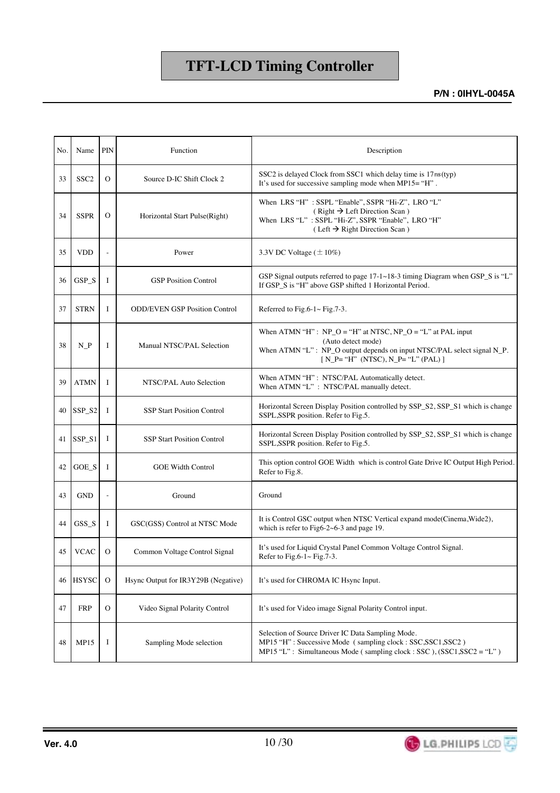| No. | Name             | PIN                      | Function                             | Description                                                                                                                                                                                               |
|-----|------------------|--------------------------|--------------------------------------|-----------------------------------------------------------------------------------------------------------------------------------------------------------------------------------------------------------|
| 33  | SSC <sub>2</sub> | $\Omega$                 | Source D-IC Shift Clock 2            | SSC2 is delayed Clock from SSC1 which delay time is 17ns(typ)<br>It's used for successive sampling mode when MP15= "H".                                                                                   |
| 34  | <b>SSPR</b>      | $\Omega$                 | Horizontal Start Pulse(Right)        | When LRS "H" : SSPL "Enable", SSPR "Hi-Z", LRO "L"<br>$(Right \rightarrow Left Direction Scan)$<br>When LRS "L" : SSPL "Hi-Z", SSPR "Enable", LRO "H"<br>$(Left \rightarrow Right Direction Scan)$        |
| 35  | <b>VDD</b>       |                          | Power                                | 3.3V DC Voltage $(\pm 10\%)$                                                                                                                                                                              |
| 36  | $GSP_S$          | I                        | <b>GSP Position Control</b>          | GSP Signal outputs referred to page $17-1 \sim 18-3$ timing Diagram when GSP_S is "L"<br>If GSP_S is "H" above GSP shifted 1 Horizontal Period.                                                           |
| 37  | <b>STRN</b>      | 1                        | <b>ODD/EVEN GSP Position Control</b> | Referred to Fig.6-1 $\sim$ Fig.7-3.                                                                                                                                                                       |
| 38  | $N_P$            | I                        | Manual NTSC/PAL Selection            | When ATMN "H": $NP_O = "H"$ at NTSC, $NP_O = "L"$ at PAL input<br>(Auto detect mode)<br>When ATMN "L": NP_O output depends on input NTSC/PAL select signal N_P.<br>$[N_P = "H" (NTSC), N_P = "L" (PAL) ]$ |
| 39  | <b>ATMN</b>      | I                        | NTSC/PAL Auto Selection              | When ATMN "H": NTSC/PAL Automatically detect.<br>When ATMN "L" : NTSC/PAL manually detect.                                                                                                                |
| 40  | SSP_S2           | -1                       | <b>SSP Start Position Control</b>    | Horizontal Screen Display Position controlled by SSP_S2, SSP_S1 which is change<br>SSPL, SSPR position. Refer to Fig.5.                                                                                   |
| 41  | SSP_S1           | I                        | <b>SSP Start Position Control</b>    | Horizontal Screen Display Position controlled by SSP_S2, SSP_S1 which is change<br>SSPL, SSPR position. Refer to Fig.5.                                                                                   |
| 42  | $GOE_S$          | -1                       | <b>GOE Width Control</b>             | This option control GOE Width which is control Gate Drive IC Output High Period.<br>Refer to Fig.8.                                                                                                       |
| 43  | <b>GND</b>       | $\overline{\phantom{a}}$ | Ground                               | Ground                                                                                                                                                                                                    |
| 44  | $GSS_S$          | Ι                        | GSC(GSS) Control at NTSC Mode        | It is Control GSC output when NTSC Vertical expand mode(Cinema, Wide2),<br>which is refer to Fig6-2 $\sim$ 6-3 and page 19.                                                                               |
| 45  | <b>VCAC</b>      | $\Omega$                 | Common Voltage Control Signal        | It's used for Liquid Crystal Panel Common Voltage Control Signal.<br>Refer to Fig.6-1 $\sim$ Fig.7-3.                                                                                                     |
| 46  | <b>HSYSC</b>     | $\Omega$                 | Hsync Output for IR3Y29B (Negative)  | It's used for CHROMA IC Hsync Input.                                                                                                                                                                      |
| 47  | <b>FRP</b>       | $\mathcal{O}$            | Video Signal Polarity Control        | It's used for Video image Signal Polarity Control input.                                                                                                                                                  |
| 48  | <b>MP15</b>      | I                        | Sampling Mode selection              | Selection of Source Driver IC Data Sampling Mode.<br>MP15 "H" : Successive Mode (sampling clock : SSC, SSC1, SSC2)<br>MP15 "L": Simultaneous Mode (sampling clock: SSC), (SSC1, SSC2 = "L")               |

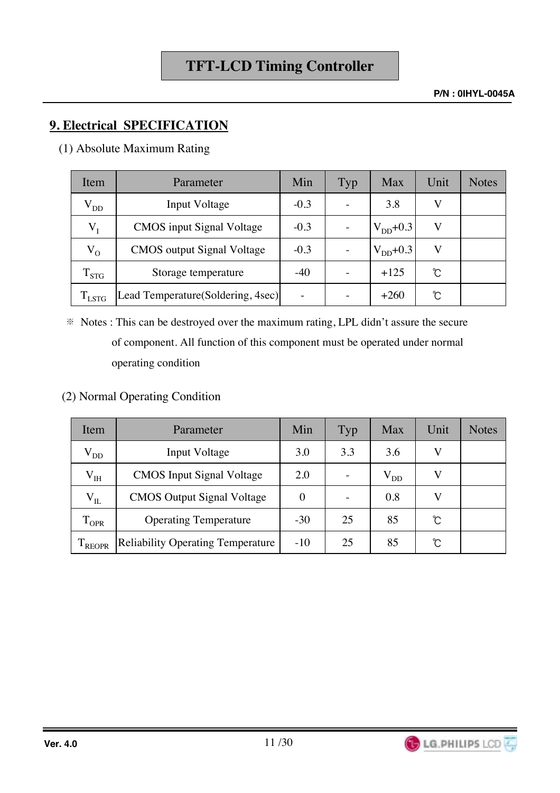**P/N : 0IHYL-0045A**

## **9. Electrical SPECIFICATION**

(1) Absolute Maximum Rating

| Item           | Parameter                          | Min    | Typ | Max           | Unit | <b>Notes</b> |
|----------------|------------------------------------|--------|-----|---------------|------|--------------|
| $\rm V_{DD}$   | <b>Input Voltage</b>               | $-0.3$ |     | 3.8           |      |              |
| $V_I$          | <b>CMOS</b> input Signal Voltage   | $-0.3$ |     | $V_{DD}+0.3$  |      |              |
| $V_{O}$        | <b>CMOS</b> output Signal Voltage  | $-0.3$ |     | $V_{DD}$ +0.3 |      |              |
| $\rm T_{STG}$  | Storage temperature                | $-40$  |     | $+125$        | Ĉ    |              |
| $T_{\rm LSTG}$ | Lead Temperature (Soldering, 4sec) |        |     | $+260$        | Ŷ.   |              |

- $*$  Notes : This can be destroyed over the maximum rating, LPL didn't assure the secure of component. All function of this component must be operated under normal operating condition
- (2) Normal Operating Condition

| Item               | Parameter                                | Min      | Typ | Max      | Unit          | <b>Notes</b> |
|--------------------|------------------------------------------|----------|-----|----------|---------------|--------------|
| $V_{DD}$           | <b>Input Voltage</b>                     | 3.0      | 3.3 | 3.6      |               |              |
| $\rm V_{IH}$       | <b>CMOS</b> Input Signal Voltage         | 2.0      |     | $V_{DD}$ |               |              |
| $\rm V_{II}$       | <b>CMOS</b> Output Signal Voltage        | $\Omega$ |     | 0.8      |               |              |
| $1_{\text{OPR}}$   | <b>Operating Temperature</b>             | $-30$    | 25  | 85       | $\mathcal{C}$ |              |
| <sup>1</sup> REOPR | <b>Reliability Operating Temperature</b> | $-10$    | 25  | 85       | Ĉ             |              |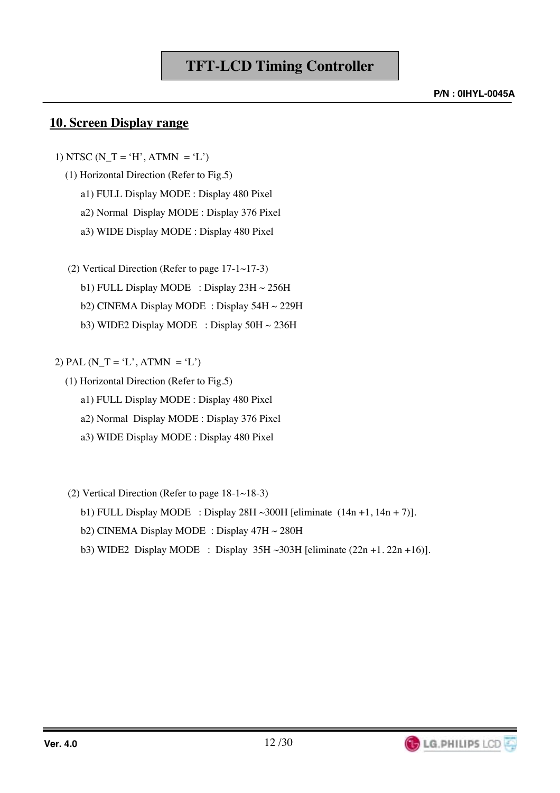### **10. Screen Display range**

- 1) NTSC (N\_T = 'H', ATMN = 'L')
	- (1) Horizontal Direction (Refer to Fig.5)
		- a1) FULL Display MODE : Display 480 Pixel
		- a2) Normal Display MODE : Display 376 Pixel
		- a3) WIDE Display MODE : Display 480 Pixel
	- (2) Vertical Direction (Refer to page 17-1~17-3) b1) FULL Display MODE : Display  $23H \sim 256H$ 
		- b2) CINEMA Display MODE : Display 54H ~ 229H
		- b3) WIDE2 Display MODE : Display 50H ~ 236H

#### 2) PAL  $(N_T = 'L', ATM = 'L')$

- (1) Horizontal Direction (Refer to Fig.5)
	- a1) FULL Display MODE : Display 480 Pixel
	- a2) Normal Display MODE : Display 376 Pixel
	- a3) WIDE Display MODE : Display 480 Pixel
- (2) Vertical Direction (Refer to page 18-1~18-3)
	- b1) FULL Display MODE : Display 28H ~300H [eliminate  $(14n +1, 14n + 7)$ ].
	- b2) CINEMA Display MODE : Display 47H ~ 280H
	- b3) WIDE2 Display MODE : Display  $35H \sim 303H$  [eliminate  $(22n + 1.22n + 16)$ ].

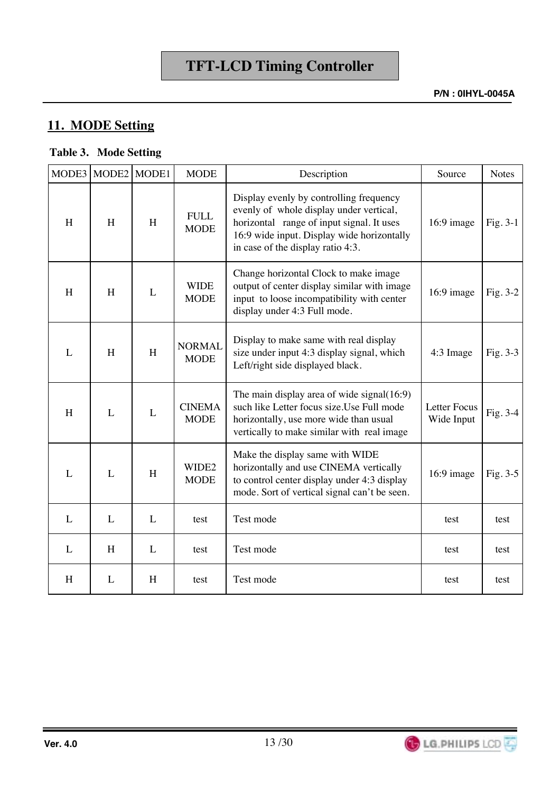## **11. MODE Setting**

### **Table 3. Mode Setting**

| MODE3 | MODE2 | MODE1 | <b>MODE</b>                  | Description                                                                                                                                                                                                        | Source                     | <b>Notes</b> |
|-------|-------|-------|------------------------------|--------------------------------------------------------------------------------------------------------------------------------------------------------------------------------------------------------------------|----------------------------|--------------|
| H     | H     | H     | <b>FULL</b><br><b>MODE</b>   | Display evenly by controlling frequency<br>evenly of whole display under vertical,<br>horizontal range of input signal. It uses<br>16:9 wide input. Display wide horizontally<br>in case of the display ratio 4:3. | 16:9 image                 | Fig. $3-1$   |
| H     | H     | L     | <b>WIDE</b><br><b>MODE</b>   | Change horizontal Clock to make image<br>output of center display similar with image<br>input to loose incompatibility with center<br>display under 4:3 Full mode.                                                 | 16:9 image                 | Fig. $3-2$   |
| L     | H     | H     | <b>NORMAL</b><br><b>MODE</b> | Display to make same with real display<br>size under input 4:3 display signal, which<br>Left/right side displayed black.                                                                                           | 4:3 Image                  | Fig. 3-3     |
| H     | L     | L     | <b>CINEMA</b><br><b>MODE</b> | The main display area of wide signal $(16.9)$<br>such like Letter focus size. Use Full mode<br>horizontally, use more wide than usual<br>vertically to make similar with real image                                | Letter Focus<br>Wide Input | Fig. $3-4$   |
| L     | L     | H     | WIDE2<br><b>MODE</b>         | Make the display same with WIDE<br>horizontally and use CINEMA vertically<br>to control center display under 4:3 display<br>mode. Sort of vertical signal can't be seen.                                           | $16:9$ image               | Fig. $3-5$   |
| L     | L     | L     | test                         | Test mode                                                                                                                                                                                                          | test                       | test         |
| L     | H     | L     | test                         | Test mode                                                                                                                                                                                                          | test                       | test         |
| H     | L     | H     | test                         | Test mode                                                                                                                                                                                                          | test                       | test         |

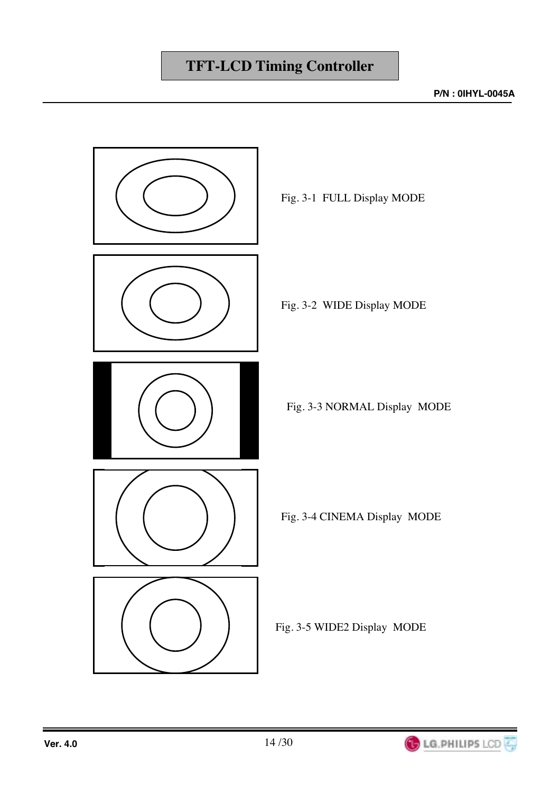

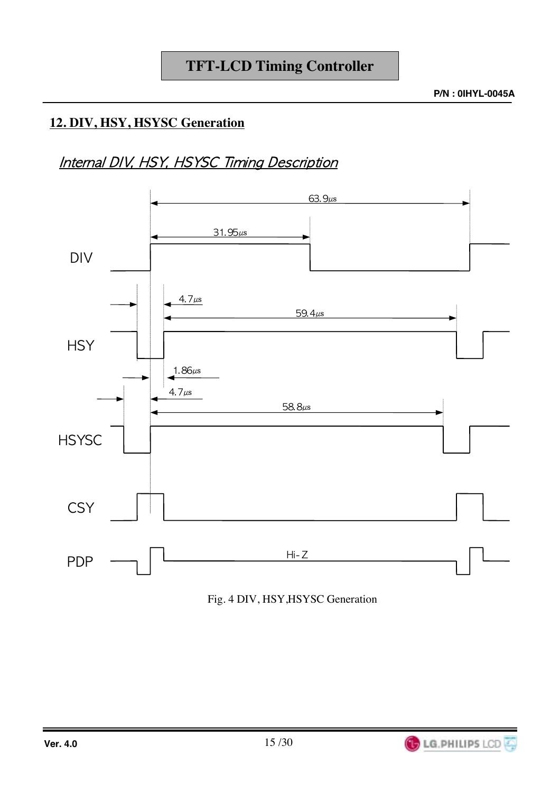## **12. DIV, HSY, HSYSC Generation**

## Internal DIV, HSY, HSYSC Timing Description



Fig. 4 DIV, HSY,HSYSC Generation

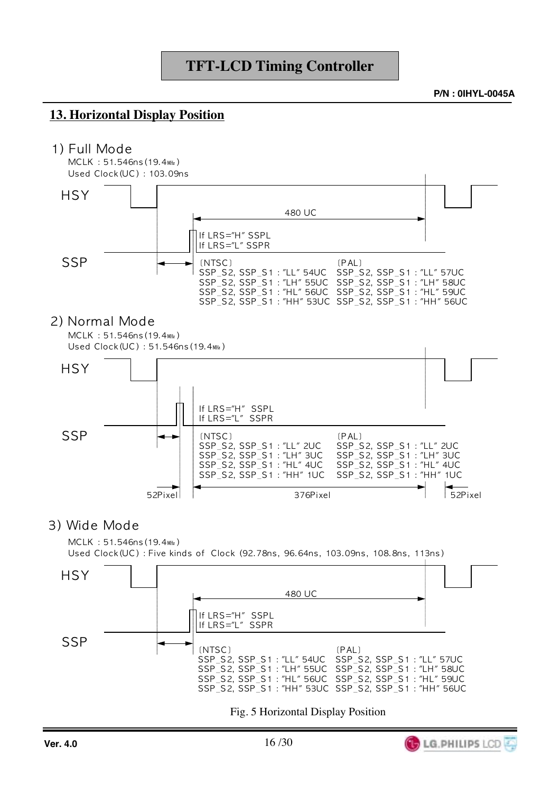**P/N: 0IHYL-0045A** 

### **13. Horizontal Display Position**

#### 1) Full Mode



SSP\_S2, SSP\_S1: "LL" 2UC SSP\_S2, SSP\_S1: "LL" 2UC SSP\_S2, SSP\_S1: "LH" 3UC SSP\_S2, SSP\_S1: "LH" 3UC SSP\_S2, SSP\_S1: "HL" 4UC<br>SSP\_S2, SSP\_S1: "HH" 1UC SSP\_S2, SSP\_S1: "HL" 4UC<br>SSP\_S2, SSP\_S1: "HL" 4UC<br>SSP\_S2, SSP\_S1: "HH" 1UC 52Pixel 52Pixel 376Pixel

#### 3) Wide Mode

MCLK: 51.546ns (19.4MHz) Used Clock(UC): Five kinds of Clock (92.78ns, 96.64ns, 103.09ns, 108.8ns, 113ns)



Fig. 5 Horizontal Display Position

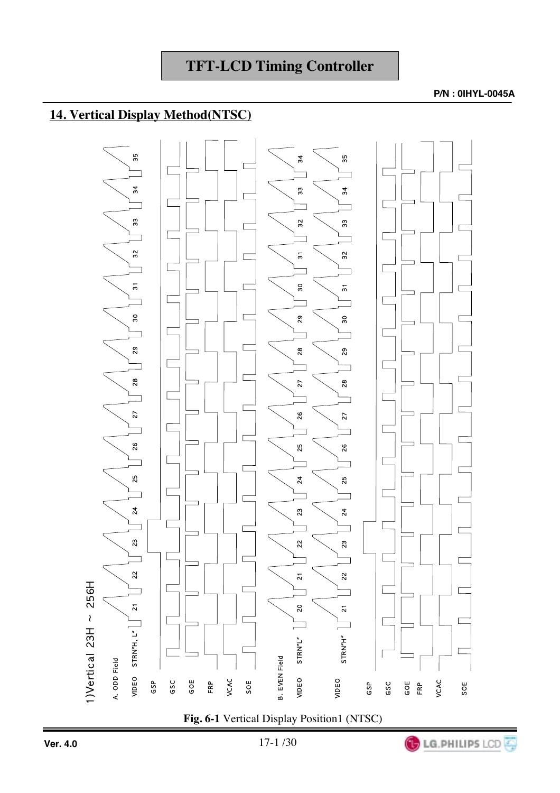#### **P/N : 0IHYL-0045A**

## **14. Vertical Display Method(NTSC)**

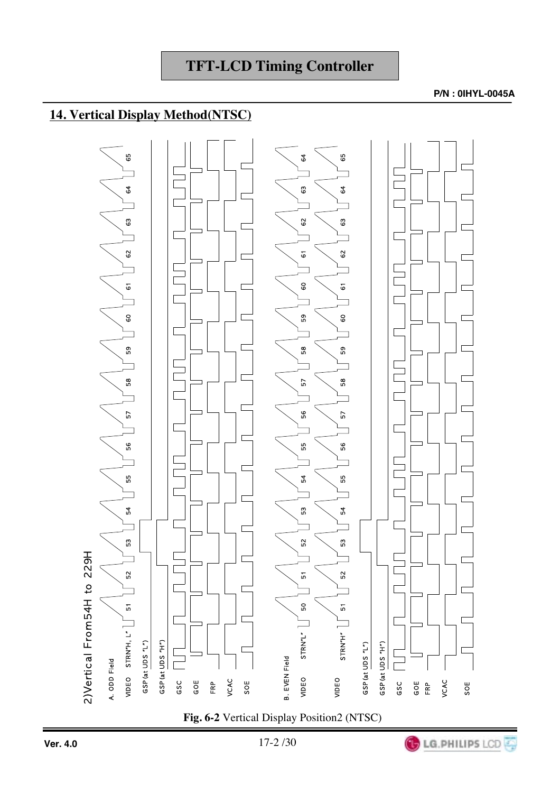## **14. Vertical Display Method(NTSC)**



**Fig. 6-2** Vertical Display Position2 (NTSC)

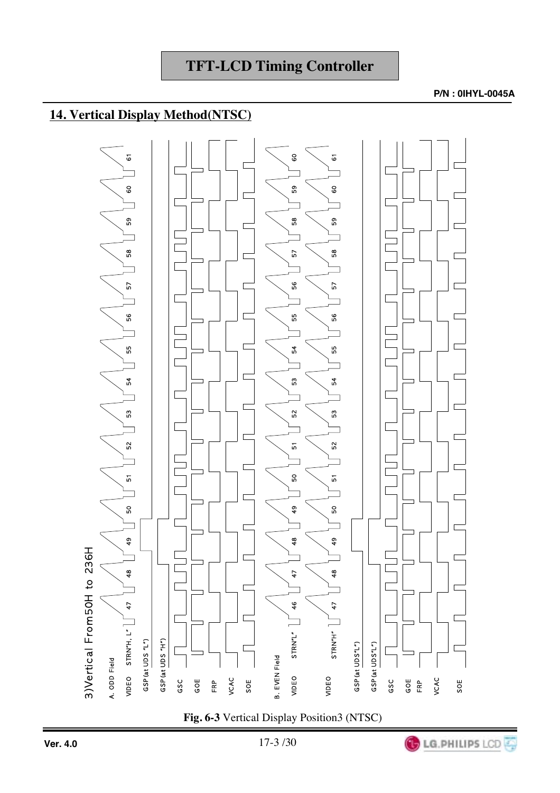## **14. Vertical Display Method(NTSC)**



**Fig. 6-3** Vertical Display Position3 (NTSC)

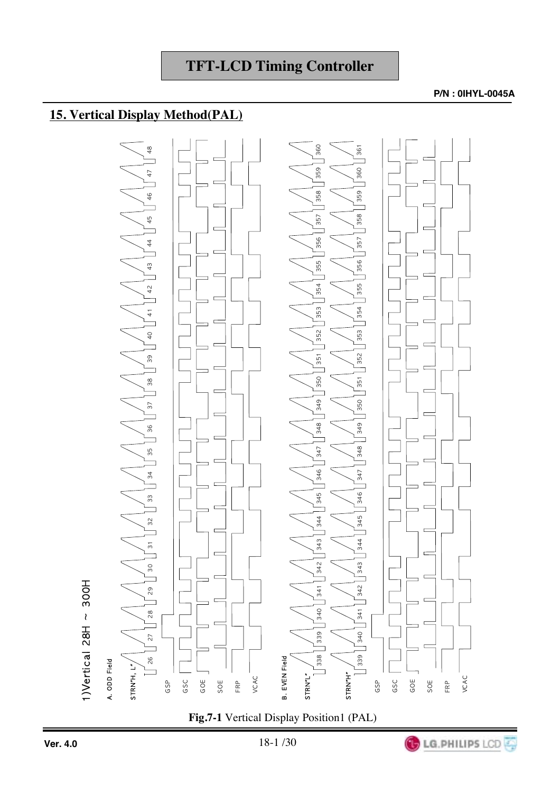### **15. Vertical Display Method(PAL)**



**Fig.7-1** Vertical Display Position1 (PAL)

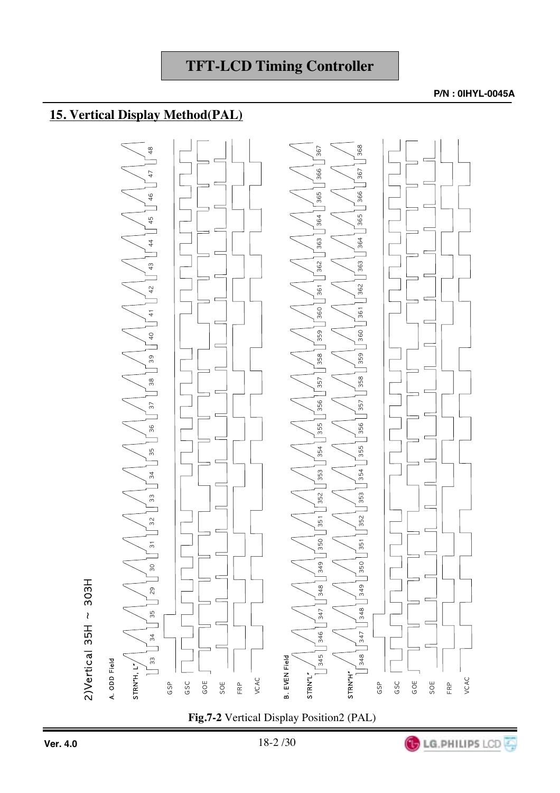### **15. Vertical Display Method(PAL)**



**Fig.7-2** Vertical Display Position2 (PAL)

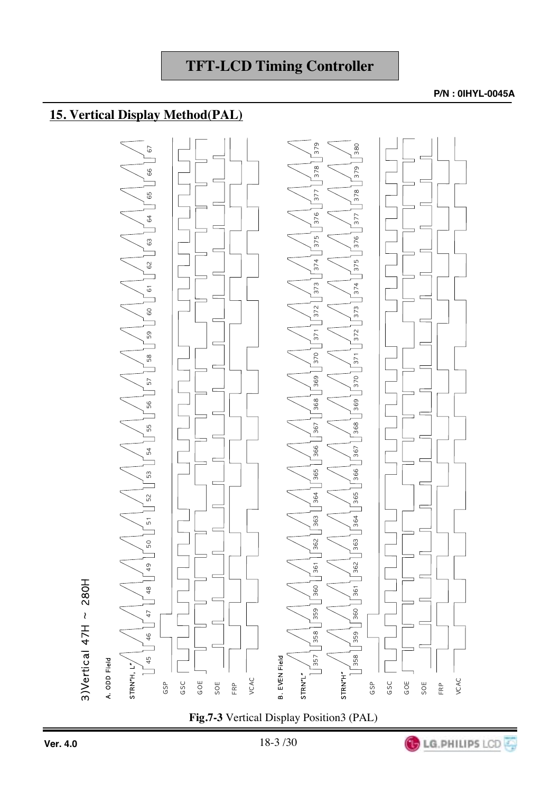## **15. Vertical Display Method(PAL)**



**Fig.7-3** Vertical Display Position3 (PAL)

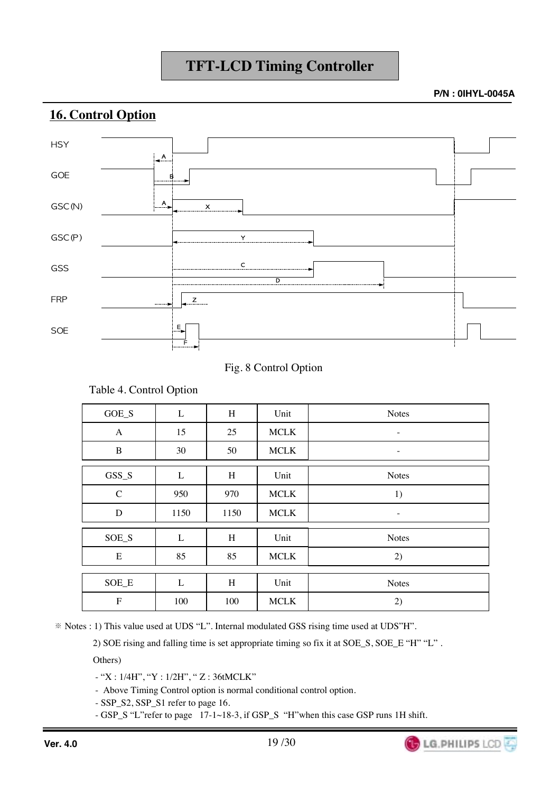**P/N : 0IHYL-0045A**

**LG.PHILIPS LCD** 

#### **16. Control Option**



Fig. 8 Control Option

|              | л.   |      |             |              |
|--------------|------|------|-------------|--------------|
| GOE_S        | L    | H    | Unit        | <b>Notes</b> |
| $\mathbf{A}$ | 15   | 25   | <b>MCLK</b> |              |
| B            | 30   | 50   | <b>MCLK</b> |              |
| GSS_S        | L    | H    | Unit        | <b>Notes</b> |
| $\mathbf C$  | 950  | 970  | $\sf MCLK$  | 1)           |
| D            | 1150 | 1150 | <b>MCLK</b> |              |
| SOE_S        | L    | H    | Unit        | <b>Notes</b> |
| E            | 85   | 85   | <b>MCLK</b> | 2)           |
|              |      |      |             |              |
| SOE_E        | L    | H    | Unit        | <b>Notes</b> |
| $\mathbf F$  | 100  | 100  | <b>MCLK</b> | 2)           |

Table 4. Control Option

Notes : 1) This value used at UDS "L". Internal modulated GSS rising time used at UDS"H".

2) SOE rising and falling time is set appropriate timing so fix it at SOE\_S, SOE\_E "H" "L" .

Others)

- "X : 1/4H", "Y : 1/2H", " Z : 36tMCLK"

- Above Timing Control option is normal conditional control option.

- SSP\_S2, SSP\_S1 refer to page 16.

- GSP\_S "L"refer to page 17-1~18-3, if GSP\_S "H"when this case GSP runs 1H shift.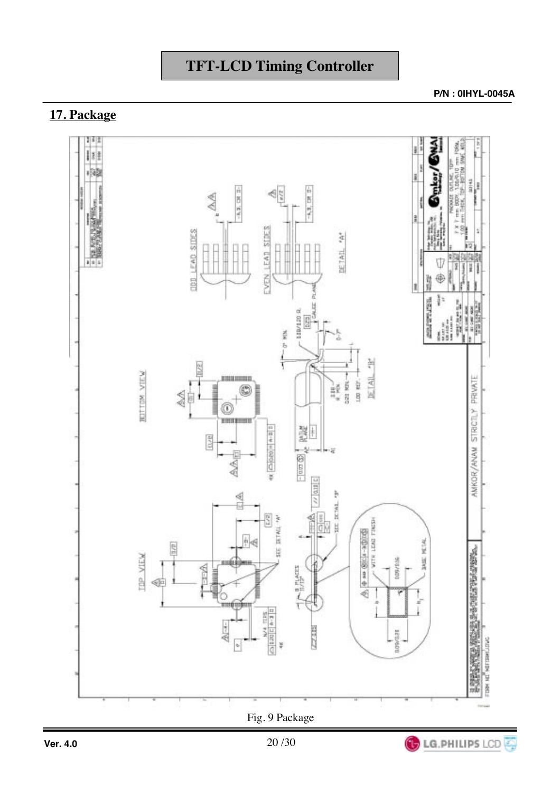## **17. Package**



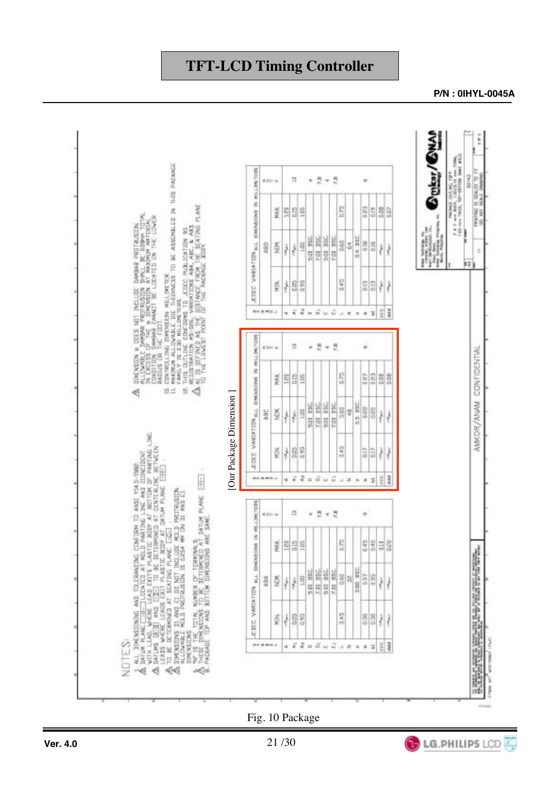

#### **P/N : 0IHYL-0045A**

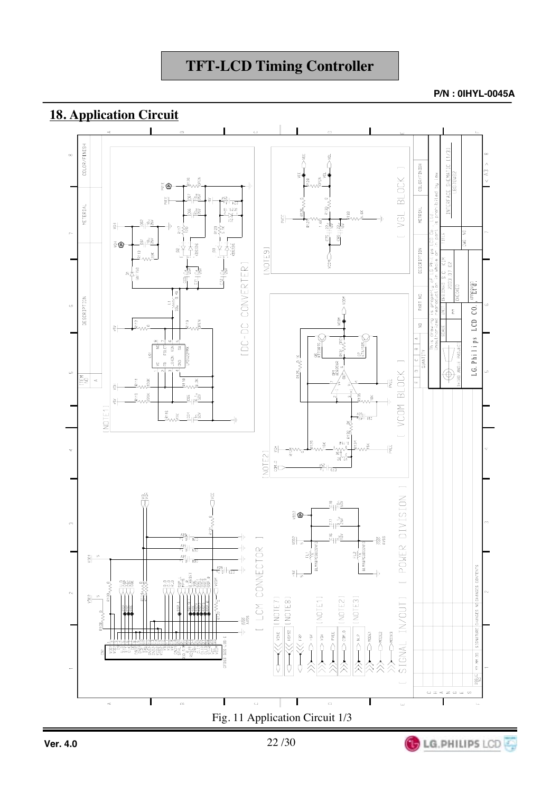LG.PHILIPS LCD



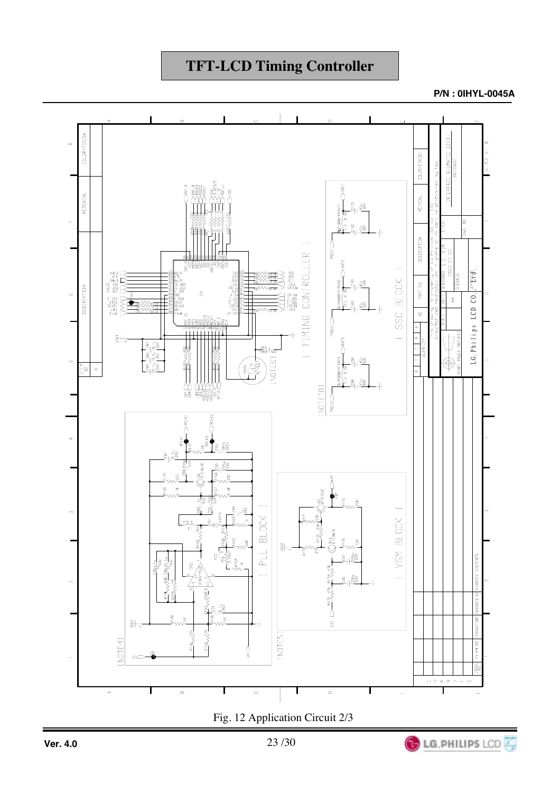**P/N : 0IHYL-0045A**

**LG.PHILIPS LCD** 



Fig. 12 Application Circuit 2/3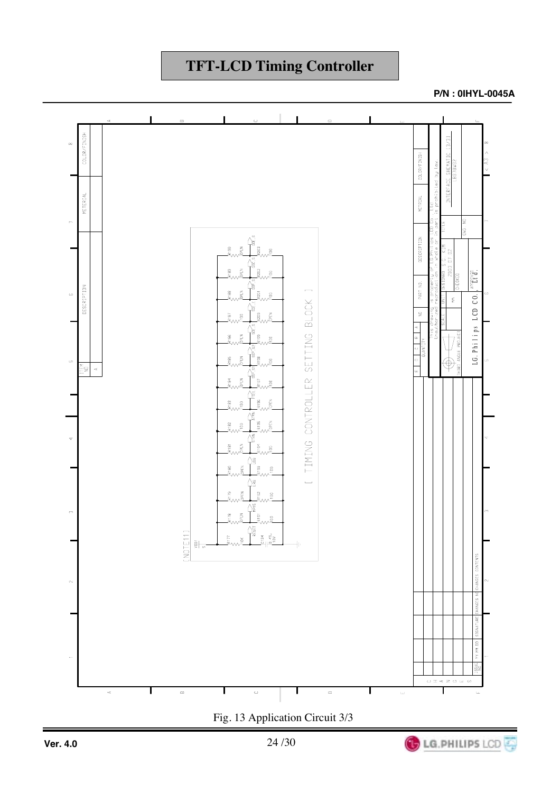**P/N : 0IHYL-0045A**



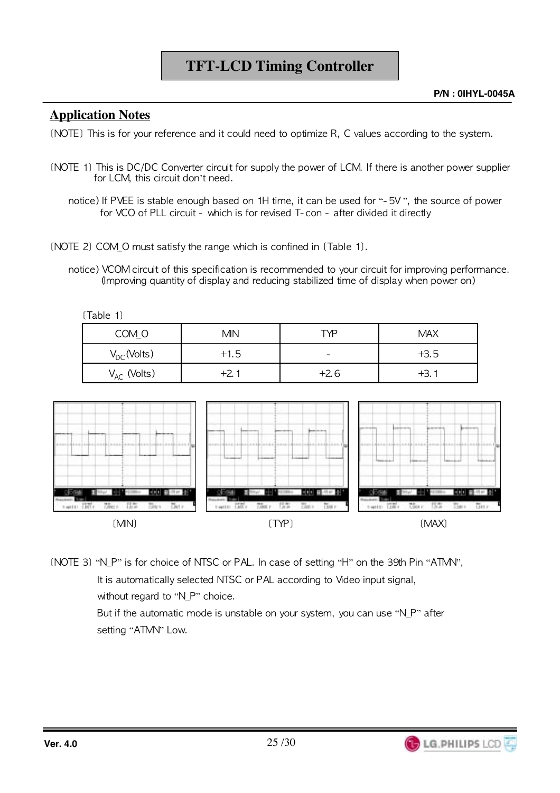#### **Application Notes**

(NOTE) This is for your reference and it could need to optimize R, C values according to the system.

- (NOTE 1) This is DC/DC Converter circuit for supply the power of LCM. If there is another power supplier for LCM, this circuit don't need.
	- notice) If PVEE is stable enough based on 1H time, it can be used for "- 5V ", the source of power for VCO of PLL circuit - which is for revised T-con - after divided it directly
- $[NOTE 2] COM_O must satisfy the range which is confined in [Table 1].$ 
	- notice) VCOM circuit of this specification is recommended to your circuit for improving performance. (Improving quantity of display and reducing stabilized time of display when power on)

 $[Table 1]$ 

| COM O            | <b>MN</b> | TYP                      | <b>MAX</b> |
|------------------|-----------|--------------------------|------------|
| $V_{DC}$ (Volts) | $+1.5$    | $\overline{\phantom{0}}$ | $+3.5$     |
| $V_{AC}$ (Volts) | +2.1      | $+2.6$                   | $+3.1$     |



(NOTE 3) "N\_P" is for choice of NTSC or PAL. In case of setting "H" on the 39th Pin "ATMN", It is automatically selected NTSC or PAL according to Video input signal, without regard to "N\_P" choice.

> But if the automatic mode is unstable on your system, you can use "N P" after setting "ATMN" Low.

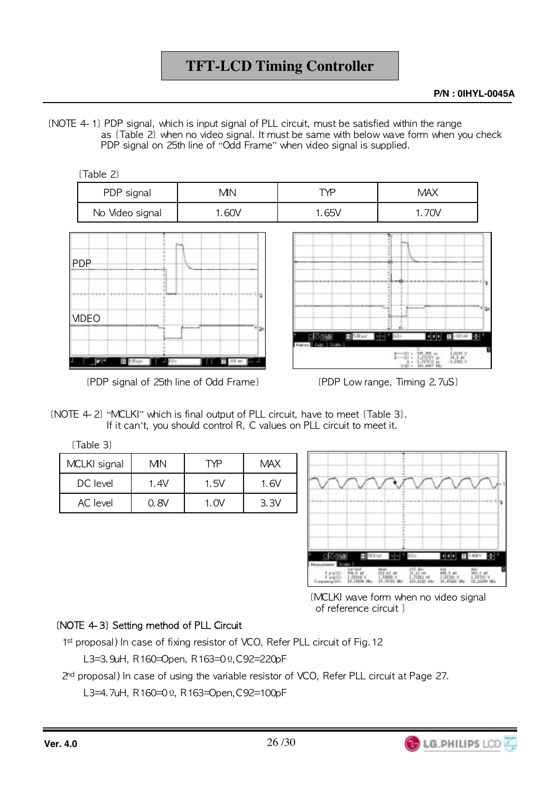(NOTE 4-1) PDP signal, which is input signal of PLL circuit, must be satisfied within the range as (Table 2) when no yideo signal. It must be same with below wave form when you check PDP signal on 25th line of "Odd Frame" when video signal is supplied.



 $(PDF \text{ signal of } 25 \text{th line of Odd Frame})$  (PDP Low range, Timing 2.7uS)

(NOTE 4-2) "MCLKI" which is final output of PLL circuit, have to meet (Table 3). If it can't, you should control R, C values on PLL circuit to meet it.

 $[Table 3]$ 

| MCLKI signal    | MΝ    | `YP.  | <b>MAX</b> |  |
|-----------------|-------|-------|------------|--|
| DC level        | 1.4V  | 1.5V  | 1. GV      |  |
| <b>AC</b> level | 0. 8V | 1. OV | 3.3V       |  |



(MCLKI wave form when no video signal of reference circuit 1

**LG.PHILIPS LCD** 

#### (NOTE 4-3) Setting method of PLL Circuit

1<sup>st</sup> proposal) In case of fixing resistor of VCO, Refer PLL circuit of Fig. 12

L3=3.9uH, R160=Open, R163=0Ω,C92=220pF

 $2<sup>nd</sup>$  proposal) In case of using the variable resistor of VCO, Refer PLL circuit at Page 27.

L3=4.7uH, R160=0Ω, R163=Open,C92=100pF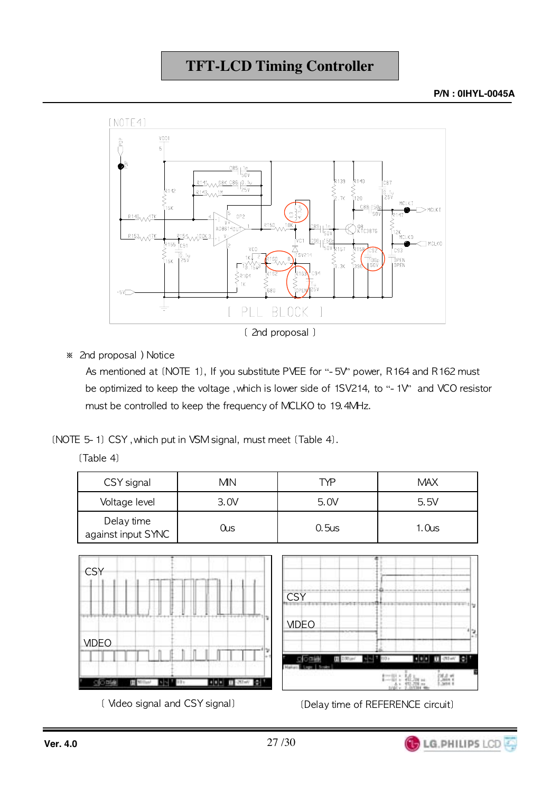**P/N : 0IHYL-0045A**



 $*$  2nd proposal ) Notice

As mentioned at (NOTE 1), If you substitute PVEE for "- 5V" power, R164 and R162 must be optimized to keep the voltage ,which is lower side of 1SV214, to "- 1V" and VCO resistor must be controlled to keep the frequency of MCLKO to 19.4MHz.

 $(NOTE 5-1) CSV, which put in VSM signal, must meet (Table 4).$ 

 $[Table 4]$ 

| CSY signal                       | <b>MN</b> | TYP      | <b>MAX</b>        |
|----------------------------------|-----------|----------|-------------------|
| Voltage level                    | 3.0V      | 5.0V     | 5.5V              |
| Delay time<br>against input SYNC | Ous       | $0.5$ us | 1.0 <sub>us</sub> |



(Mdeo signal and CSY signal) [Delay time of REFERENCE circuit]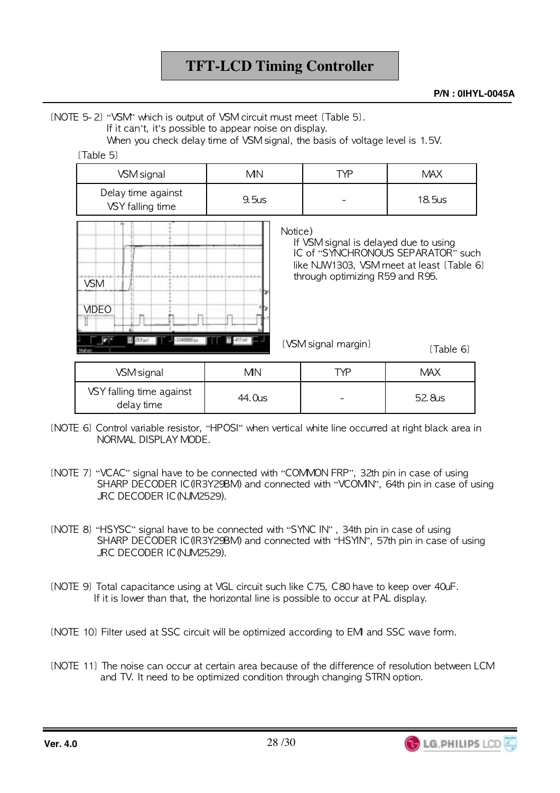(NOTE 5-2) "VSM" which is output of VSM circuit must meet (Table 5).

If it can't, it's possible to appear noise on display.

When you check delay time of VSM signal, the basis of voltage level is 1.5V.

| [Table 5] |  |
|-----------|--|
|           |  |

| VSM signal                             | <b>MN</b>                                       | TYP                                                                      | <b>MAX</b>                                                                      |
|----------------------------------------|-------------------------------------------------|--------------------------------------------------------------------------|---------------------------------------------------------------------------------|
| Delay time against<br>VSY falling time | 9.5us                                           |                                                                          | 18.5us                                                                          |
| VSM<br><b>MDEO</b>                     | Notice)<br>,,,,,,,,,,,,,,,,,,,,,,,,,,,,,,,,,,,, | If VSM signal is delayed due to using<br>through optimizing R59 and R95. | IC of "SYNCHRONOUS SEPARATOR" such<br>like NJW1303, VSM meet at least (Table 6) |
|                                        |                                                 | (VSM signal margin)                                                      | (Table 6)                                                                       |

| VSM signal                             | ΜN     | TYP                      | <b>MAX</b> |
|----------------------------------------|--------|--------------------------|------------|
| VSY falling time against<br>delay time | 44.0us | $\overline{\phantom{0}}$ | 52.8us     |

- (NOTE 6) Control variable resistor, "HPOSI" when vertical white line occurred at right black area in NORMAL DISPI AY MODE.
- (NOTE 7) "VCAC" signal have to be connected with "COMMON FRP", 32th pin in case of using SHARP DECODER IC(IR3Y29BM) and connected with "VCOMN", 64th pin in case of using JRC DECODER IC (NJM2529).
- (NOTE 8) "HSYSC" signal have to be connected with "SYNC IN", 34th pin in case of using SHARP DECODER IC(IR3Y29BM) and connected with "HSYIN", 57th pin in case of using JRC DECODER IC (NJM2529).
- (NOTE 9) Total capacitance using at VGL circuit such like C75, C80 have to keep over 40uF. If it is lower than that, the horizontal line is possible to occur at PAL display.
- (NOTE 10) Filter used at SSC circuit will be optimized according to EM and SSC wave form.
- (NOTE 11) The noise can occur at certain area because of the difference of resolution between LCM and TV. It need to be optimized condition through changing STRN option.

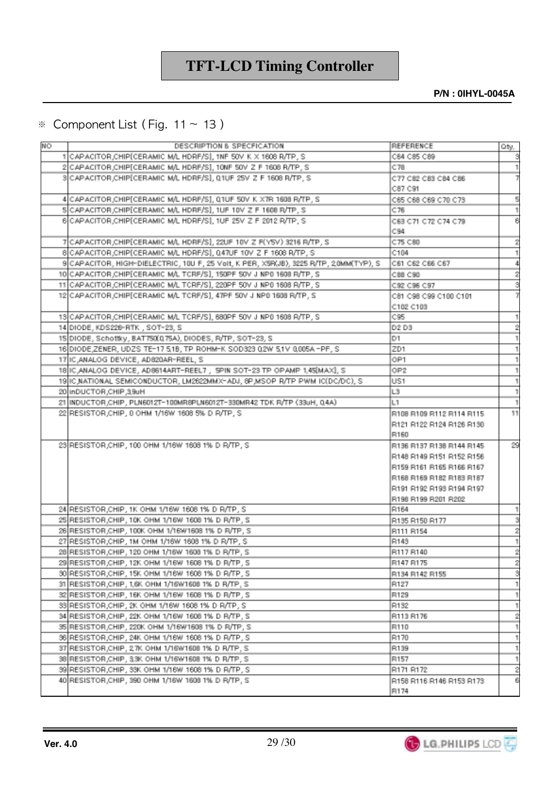**P/N : 0IHYL-0045A**

#### $\%$  Component List (Fig. 11  $\sim$  13 )

| NO | DESCRIPTION & SPECFICATION                                                            | REFERENCE                | Oty,      |
|----|---------------------------------------------------------------------------------------|--------------------------|-----------|
|    | 1 CAPACITOR, CHIP [CERAMIC MAL HDRF/S], 1NF 50V K X 1608 R/TP, S                      | C64 C85 C89              | S         |
|    | 2 CAPACITOR CHIP[CERAMIC M/L HDRF/S], 10NF 50V Z F 1608 R/TP, S                       | C78                      | -1        |
|    | SCAPACITOR CHIP(CERAMIC M/L HDRF/S), 0.1UF 25V Z F 1608 R/TP, S                       | C77 C82 C83 C84 C86      | 7         |
|    |                                                                                       | C87 C91                  |           |
|    | 4 CAPACITOR CHIP[CERAMIC M/L HDRF/S], Q1UF 50V K X7R 1608 R/TP, S                     | C65 C68 C69 C70 C73      | g         |
|    | SCAPACITOR, CHIP [CERAMIC M/L HDRF/S], 1UF 10V Z F 1608 R/TP, S                       | C76                      | ı         |
|    | 6 CAPACITOR CHIP (CERAMIC MAL HDRF/S), 1UF 25V Z F 2012 R/TP, S                       | C63 C71 C72 C74 C79      | 6         |
|    |                                                                                       | C94                      |           |
|    | 7 CAPACITOR CHIP (CERAMIC M/L HDRF/S), 22UF 10V Z F(YSV) 3216 R/TP, S                 | C75 C80                  | 2         |
|    | 8 CAPACITOR, CHIP (CERAMIC M/L HDRF/S), 047UF 10V Z F 1608 R/TP, S                    | C104                     |           |
|    | 9 CAPACITOR, HIGH-DIELECTRIC, 10U F, 25 Volt, K PER, XSR(JB), 3225 R/TP, 20MM(TYP), S | C61 C62 C66 C67          | 4         |
|    | 10 CAPACITOR CHIP [CERAMIC MA, TCRF/S], 150PF 50V J NP0 1608 R/TP, S                  | C88 C90                  | 2         |
|    | 11 CAPACITOR CHIP(CERAMIC MAL TCRF/S), 220PF 50V J NP0 1608 R/TP, S                   | C92 C96 C97              | š         |
|    | 12 CAPACITOR CHIP[CERAMIC M/L TCRF/S], 47PF 50V J NP0 1608 R/TP, S                    | C81 C98 C99 C100 C101    | 7         |
|    |                                                                                       | C102 C103                |           |
|    | 13 CAPACITOR CHIP(CERAMIC MALTCRF/S), 680PF 50V J NP0 1608 R/TP, S                    | C95                      | 1         |
|    | 14 DIODE, KDS226-RTK, SOT-23, S                                                       | D2 D3                    | 2         |
|    | 15 DIODE, Schottky, BAT750(0.75A), DIODES, R/TP, SOT-23, S                            | D1                       |           |
|    | 16 DIODE ZENER, UDZS TE-17 5.1B, TP ROHM-K SOD323 0.2W 5.1V 0.005A -PF, S             | ZD1                      |           |
|    | 17 IC ANALOG DEVICE, AD820AR-REEL, S                                                  | OP1                      | 1         |
|    | 18 IC ANALOG DEVICE, AD8614ART-REEL7, SPIN SOT-23 TP OPAMP 1.45 MAXI, S               | OP2                      | 1         |
|    | 19 IIC NATIONAL SEMICONDUCTOR, LM2622MMX-ADJ, 8P MSOP R/TP PWM IC(DC/DC), S           | US1                      | 1         |
|    | 20 InDUCTOR CHIP 39uH                                                                 | L3                       | 1         |
|    | 21   INDUCTOR CHIP, PLN6012T-100MR8PLN6012T-330MR42 TDK R/TP (33uH, Q4A)              | L1                       | 1         |
|    | 22 RESISTOR CHIP, 0 OHM 1/16W 1608 5% D R/TP, S                                       | R108 R109 R112 R114 R115 | 11        |
|    |                                                                                       | R121 R122 R124 R126 R130 |           |
|    |                                                                                       | R160                     |           |
|    | 23 RESISTOR, CHIP, 100 OHM 1/16W 1608 1% D R/TP, S                                    | R136 R137 R138 R144 R145 | 29        |
|    |                                                                                       | R148 R149 R151 R152 R158 |           |
|    |                                                                                       | R159 R161 R165 R166 R167 |           |
|    |                                                                                       | R168 R169 R182 R183 R187 |           |
|    |                                                                                       | R191 R192 R193 R194 R197 |           |
|    |                                                                                       | R198 R199 R201 R202      |           |
|    | 24 RESISTOR, CHIP, 1K OHM 1/16W 1606 1% D R/TP, S                                     | R164                     | 1         |
|    | 25 RESISTOR, CHIP, 10K OHM 1/16W 1608 1% D R/TP, S                                    | R135 R150 R177           | 3         |
|    | 26 RESISTOR CHIP, 100K OHM 1/16W1608 1% D R/TP, S                                     | R111 R154                | 2         |
|    | 27 RESISTOR, CHIP, 1M OHM 1/16W 1608 1% D R/TP, S                                     | R143                     |           |
|    | 28 RESISTOR, CHIP, 120 OHM 1/16W 1608 1% D R/TP, S                                    | R117 R140                | $\bar{2}$ |
|    | 29 RESISTOR CHIP, 12K OHM 1/16W 1608 1% D R/TP, S                                     | R147 R175                | 2         |
|    | 30 RESISTOR, CHIP, 15K OHM 1/16W 1606 1% D R/TP, S                                    | R134 R142 R155           | 8         |
|    | 31 RESISTOR, CHIP, 1,6K OHM 1/16W1608 1% D R/TP, S                                    | R127                     | 1         |
|    | 32 RESISTOR CHIP, 16K OHM 1/16W 1608 1% D R/TP, S                                     | R129                     | 1         |
|    | 33 RESISTOR CHIP, 2K OHM 1/16W 1608 1% D R/TP, S                                      | R132                     | 1         |
|    | 34 RESISTOR, CHIP, 22K OHM 1/16W 1608 1% D R/TP, S                                    | R113 R176                | 2         |
|    | 35 RESISTOR CHIP, 220K OHM 1/16W1608 1% D R/TP, S                                     | R110                     | 1         |
|    | 36 RESISTOR CHIP, 24K OHM 1/16W 1608 1% D R/TP, S                                     | R170                     | 1         |
|    | 37 RESISTOR, CHIP, 27K OHM 1/16W1608 1% D R/TP, S                                     | R139                     | 1         |
|    | 38 RESISTOR CHIP, 33K OHM 1/16W1608 1% D R/TP, S                                      | R157                     | 1         |
|    | 39 RESISTOR, CHIP, 33K OHM 1/16W 1608 1% D R/TP, S                                    | R171 R172                | 2         |
|    | 40 RESISTOR CHIP, 390 OHM 1/16W 1608 1% D R/TP, S                                     | R158 R116 R146 R153 R173 | 6         |
|    |                                                                                       | R174                     |           |
|    |                                                                                       |                          |           |